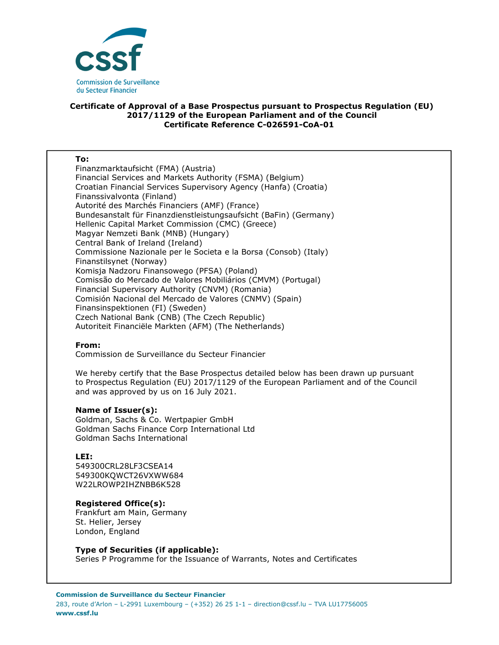

## **Certificate of Approval of a Base Prospectus pursuant to Prospectus Regulation (EU) 2017/1129 of the European Parliament and of the Council Certificate Reference C-026591-CoA-01**

#### **To:**

Finanzmarktaufsicht (FMA) (Austria) Financial Services and Markets Authority (FSMA) (Belgium) Croatian Financial Services Supervisory Agency (Hanfa) (Croatia) Finanssivalvonta (Finland) Autorité des Marchés Financiers (AMF) (France) Bundesanstalt für Finanzdienstleistungsaufsicht (BaFin) (Germany) Hellenic Capital Market Commission (CMC) (Greece) Magyar Nemzeti Bank (MNB) (Hungary) Central Bank of Ireland (Ireland) Commissione Nazionale per le Societa e la Borsa (Consob) (Italy) Finanstilsynet (Norway) Komisja Nadzoru Finansowego (PFSA) (Poland) Comissão do Mercado de Valores Mobiliários (CMVM) (Portugal) Financial Supervisory Authority (CNVM) (Romania) Comisión Nacional del Mercado de Valores (CNMV) (Spain) Finansinspektionen (FI) (Sweden) Czech National Bank (CNB) (The Czech Republic) Autoriteit Financiële Markten (AFM) (The Netherlands)

## **From:**

Commission de Surveillance du Secteur Financier

We hereby certify that the Base Prospectus detailed below has been drawn up pursuant to Prospectus Regulation (EU) 2017/1129 of the European Parliament and of the Council and was approved by us on 16 July 2021.

#### **Name of Issuer(s):**

Goldman, Sachs & Co. Wertpapier GmbH Goldman Sachs Finance Corp International Ltd Goldman Sachs International

# **LEI:**

549300CRL28LF3CSEA14 549300KQWCT26VXWW684 W22LROWP2IHZNBB6K528

#### **Registered Office(s):**

Frankfurt am Main, Germany St. Helier, Jersey London, England

## **Type of Securities (if applicable):**

Series P Programme for the Issuance of Warrants, Notes and Certificates